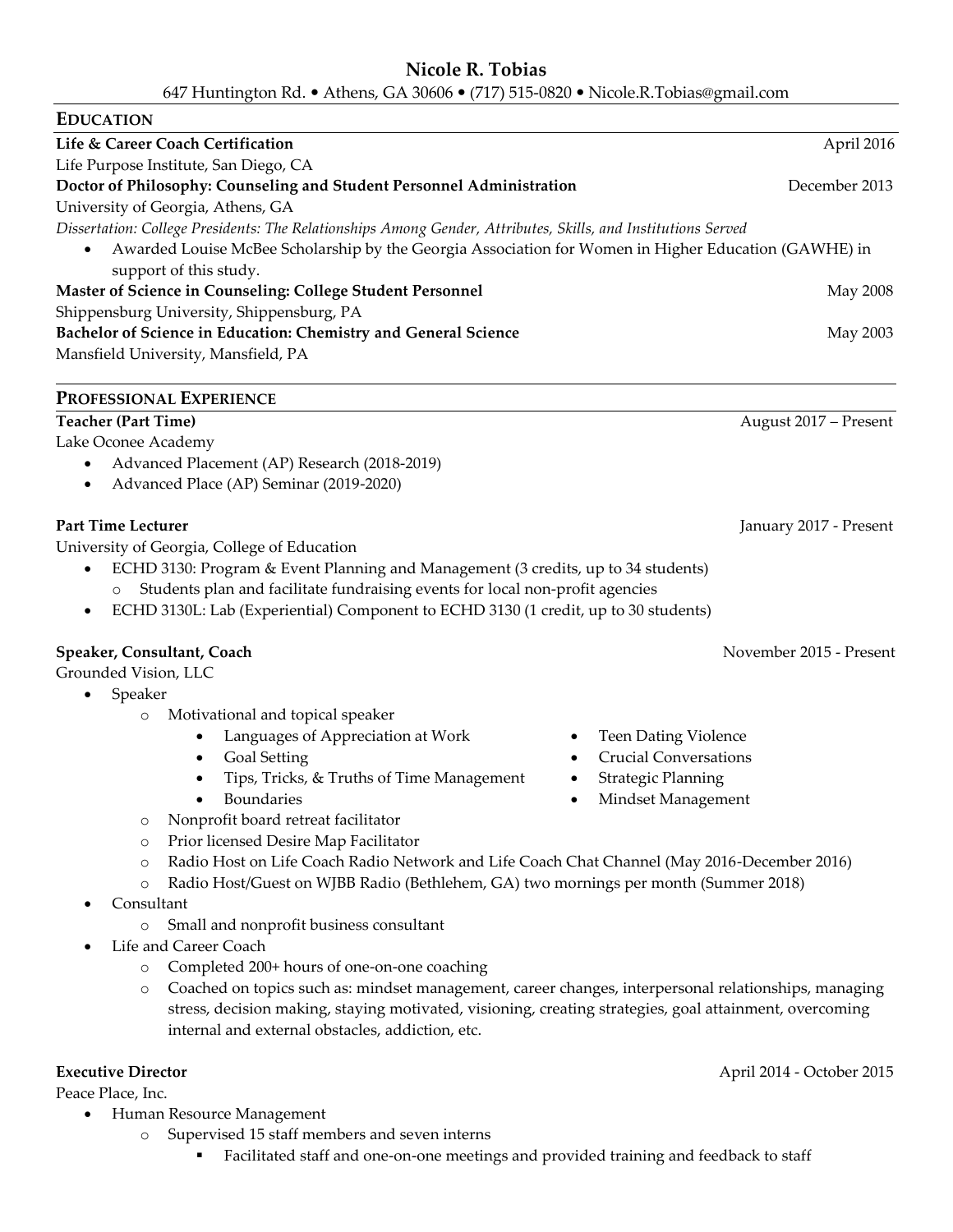# **Nicole R. Tobias**

647 Huntington Rd. Athens, GA 30606 (717) 515-0820 Nicole.R.Tobias@gmail.com

| <b>EDUCATION</b>                                                                                              |                       |
|---------------------------------------------------------------------------------------------------------------|-----------------------|
| Life & Career Coach Certification                                                                             | April 2016            |
| Life Purpose Institute, San Diego, CA                                                                         |                       |
| Doctor of Philosophy: Counseling and Student Personnel Administration                                         | December 2013         |
| University of Georgia, Athens, GA                                                                             |                       |
| Dissertation: College Presidents: The Relationships Among Gender, Attributes, Skills, and Institutions Served |                       |
| Awarded Louise McBee Scholarship by the Georgia Association for Women in Higher Education (GAWHE) in          |                       |
| support of this study.                                                                                        |                       |
| Master of Science in Counseling: College Student Personnel                                                    | May 2008              |
| Shippensburg University, Shippensburg, PA                                                                     |                       |
| Bachelor of Science in Education: Chemistry and General Science                                               | May 2003              |
| Mansfield University, Mansfield, PA                                                                           |                       |
| PROFESSIONAL EXPERIENCE                                                                                       |                       |
| <b>Teacher (Part Time)</b>                                                                                    | August 2017 – Present |
| Lake Oconee Academy                                                                                           |                       |

- Advanced Placement (AP) Research (2018-2019)
- Advanced Place (AP) Seminar (2019-2020)

### **Part Time Lecturer** *January 2017 - Present*

University of Georgia, College of Education

- ECHD 3130: Program & Event Planning and Management (3 credits, up to 34 students) Students plan and facilitate fundraising events for local non-profit agencies
- ECHD 3130L: Lab (Experiential) Component to ECHD 3130 (1 credit, up to 30 students)

## **Speaker, Consultant, Coach** November 2015 - Present

Grounded Vision, LLC

- Speaker
	- o Motivational and topical speaker
		- Languages of Appreciation at Work Teen Dating Violence
		-
		- Tips, Tricks, & Truths of Time Management Strategic Planning
		-
	- o Nonprofit board retreat facilitator
	- o Prior licensed Desire Map Facilitator
	- o Radio Host on Life Coach Radio Network and Life Coach Chat Channel (May 2016-December 2016)
	- o Radio Host/Guest on WJBB Radio (Bethlehem, GA) two mornings per month (Summer 2018)
- Consultant
	- o Small and nonprofit business consultant
- Life and Career Coach
	- o Completed 200+ hours of one-on-one coaching
	- o Coached on topics such as: mindset management, career changes, interpersonal relationships, managing stress, decision making, staying motivated, visioning, creating strategies, goal attainment, overcoming internal and external obstacles, addiction, etc.

Peace Place, Inc.

- Human Resource Management
	- o Supervised 15 staff members and seven interns
		- Facilitated staff and one-on-one meetings and provided training and feedback to staff
- 
- Goal Setting Crucial Conversations
	-
- Boundaries Mindset Management

**Executive Director** April 2014 - October 2015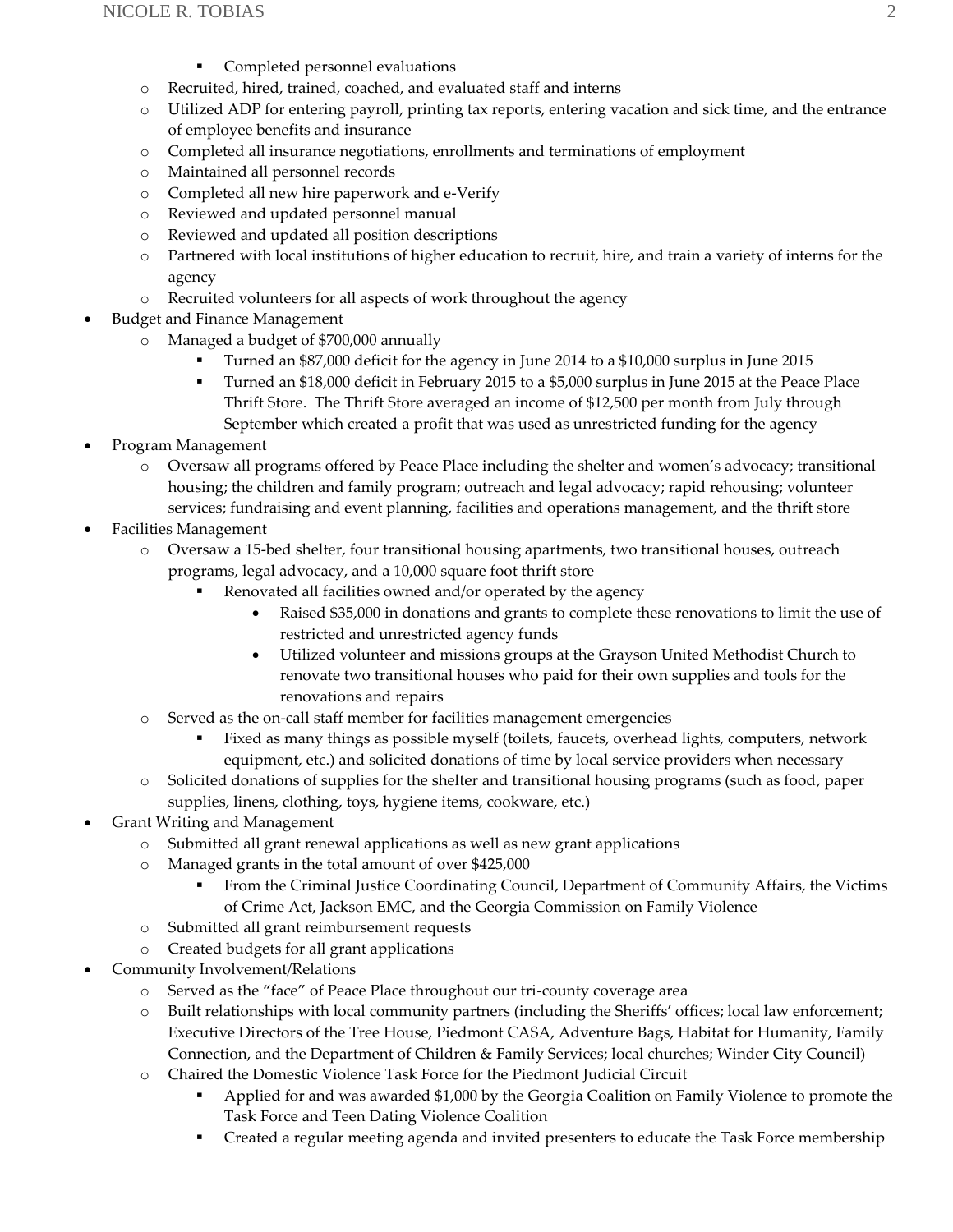- Completed personnel evaluations
- o Recruited, hired, trained, coached, and evaluated staff and interns
- o Utilized ADP for entering payroll, printing tax reports, entering vacation and sick time, and the entrance of employee benefits and insurance
- o Completed all insurance negotiations, enrollments and terminations of employment
- o Maintained all personnel records
- o Completed all new hire paperwork and e-Verify
- o Reviewed and updated personnel manual
- o Reviewed and updated all position descriptions
- o Partnered with local institutions of higher education to recruit, hire, and train a variety of interns for the agency
- o Recruited volunteers for all aspects of work throughout the agency
- Budget and Finance Management
	- Managed a budget of \$700,000 annually
		- Turned an \$87,000 deficit for the agency in June 2014 to a \$10,000 surplus in June 2015
		- Turned an \$18,000 deficit in February 2015 to a \$5,000 surplus in June 2015 at the Peace Place Thrift Store. The Thrift Store averaged an income of \$12,500 per month from July through September which created a profit that was used as unrestricted funding for the agency
- Program Management
	- o Oversaw all programs offered by Peace Place including the shelter and women's advocacy; transitional housing; the children and family program; outreach and legal advocacy; rapid rehousing; volunteer services; fundraising and event planning, facilities and operations management, and the thrift store
- Facilities Management
	- o Oversaw a 15-bed shelter, four transitional housing apartments, two transitional houses, outreach programs, legal advocacy, and a 10,000 square foot thrift store
		- Renovated all facilities owned and/or operated by the agency
			- Raised \$35,000 in donations and grants to complete these renovations to limit the use of restricted and unrestricted agency funds
			- Utilized volunteer and missions groups at the Grayson United Methodist Church to renovate two transitional houses who paid for their own supplies and tools for the renovations and repairs
	- o Served as the on-call staff member for facilities management emergencies
		- Fixed as many things as possible myself (toilets, faucets, overhead lights, computers, network equipment, etc.) and solicited donations of time by local service providers when necessary
	- o Solicited donations of supplies for the shelter and transitional housing programs (such as food, paper supplies, linens, clothing, toys, hygiene items, cookware, etc.)
- Grant Writing and Management
	- o Submitted all grant renewal applications as well as new grant applications
	- o Managed grants in the total amount of over \$425,000
		- From the Criminal Justice Coordinating Council, Department of Community Affairs, the Victims of Crime Act, Jackson EMC, and the Georgia Commission on Family Violence
	- o Submitted all grant reimbursement requests
	- o Created budgets for all grant applications
- Community Involvement/Relations
	- o Served as the "face" of Peace Place throughout our tri-county coverage area
	- o Built relationships with local community partners (including the Sheriffs' offices; local law enforcement; Executive Directors of the Tree House, Piedmont CASA, Adventure Bags, Habitat for Humanity, Family Connection, and the Department of Children & Family Services; local churches; Winder City Council)
	- o Chaired the Domestic Violence Task Force for the Piedmont Judicial Circuit
		- Applied for and was awarded \$1,000 by the Georgia Coalition on Family Violence to promote the Task Force and Teen Dating Violence Coalition
		- **•** Created a regular meeting agenda and invited presenters to educate the Task Force membership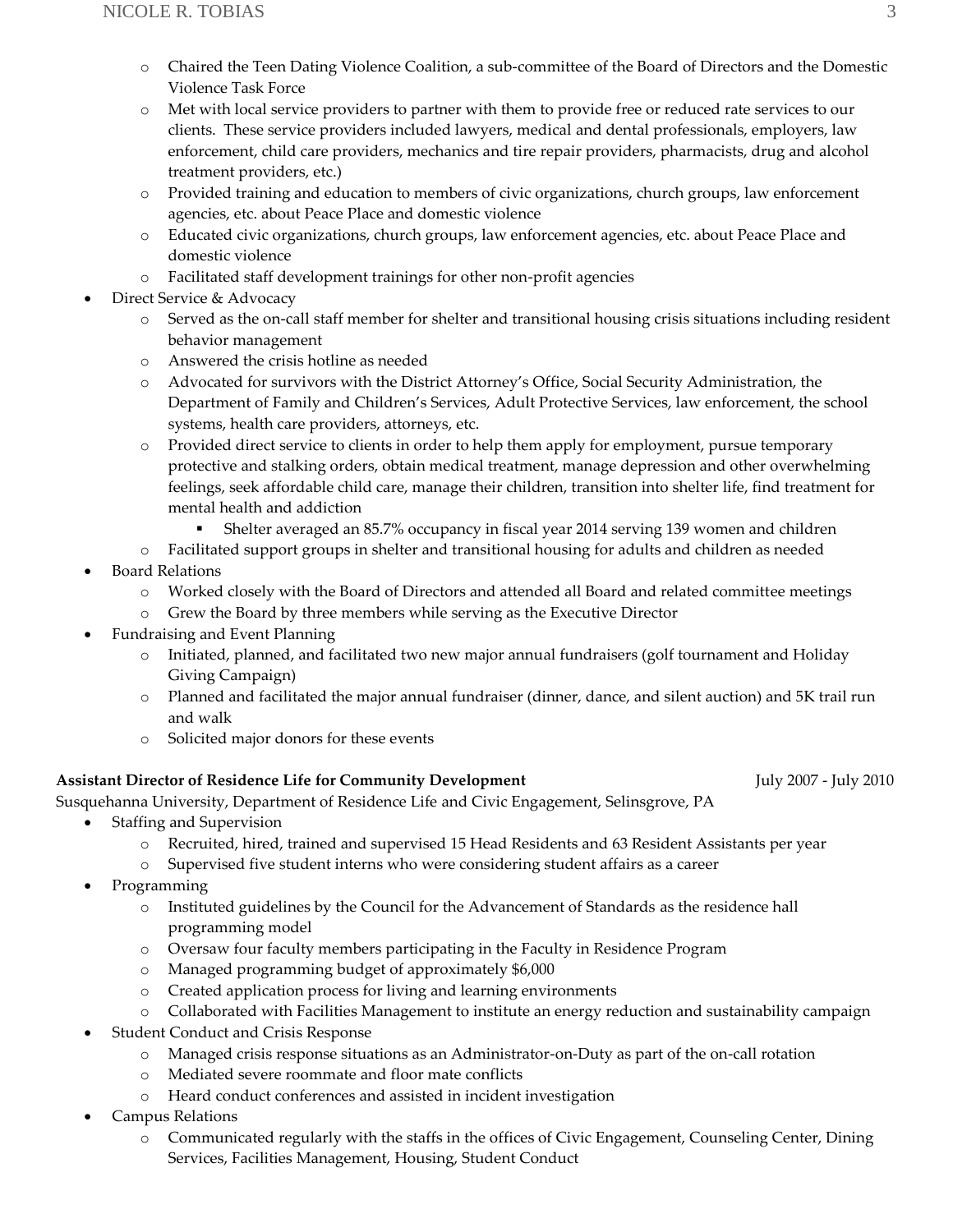- o Chaired the Teen Dating Violence Coalition, a sub-committee of the Board of Directors and the Domestic Violence Task Force
- o Met with local service providers to partner with them to provide free or reduced rate services to our clients. These service providers included lawyers, medical and dental professionals, employers, law enforcement, child care providers, mechanics and tire repair providers, pharmacists, drug and alcohol treatment providers, etc.)
- o Provided training and education to members of civic organizations, church groups, law enforcement agencies, etc. about Peace Place and domestic violence
- o Educated civic organizations, church groups, law enforcement agencies, etc. about Peace Place and domestic violence
- o Facilitated staff development trainings for other non-profit agencies
- Direct Service & Advocacy
	- o Served as the on-call staff member for shelter and transitional housing crisis situations including resident behavior management
	- o Answered the crisis hotline as needed
	- o Advocated for survivors with the District Attorney's Office, Social Security Administration, the Department of Family and Children's Services, Adult Protective Services, law enforcement, the school systems, health care providers, attorneys, etc.
	- o Provided direct service to clients in order to help them apply for employment, pursue temporary protective and stalking orders, obtain medical treatment, manage depression and other overwhelming feelings, seek affordable child care, manage their children, transition into shelter life, find treatment for mental health and addiction
		- **•** Shelter averaged an 85.7% occupancy in fiscal year 2014 serving 139 women and children
	- o Facilitated support groups in shelter and transitional housing for adults and children as needed
- Board Relations
	- o Worked closely with the Board of Directors and attended all Board and related committee meetings
	- o Grew the Board by three members while serving as the Executive Director
- Fundraising and Event Planning
	- o Initiated, planned, and facilitated two new major annual fundraisers (golf tournament and Holiday Giving Campaign)
	- o Planned and facilitated the major annual fundraiser (dinner, dance, and silent auction) and 5K trail run and walk
	- o Solicited major donors for these events

#### **Assistant Director of Residence Life for Community Development** July 2007 - July 2010

Susquehanna University, Department of Residence Life and Civic Engagement, Selinsgrove, PA

- Staffing and Supervision
	- o Recruited, hired, trained and supervised 15 Head Residents and 63 Resident Assistants per year
	- o Supervised five student interns who were considering student affairs as a career
- Programming
	- o Instituted guidelines by the Council for the Advancement of Standards as the residence hall programming model
	- o Oversaw four faculty members participating in the Faculty in Residence Program
	- o Managed programming budget of approximately \$6,000
	- o Created application process for living and learning environments
	- o Collaborated with Facilities Management to institute an energy reduction and sustainability campaign
- Student Conduct and Crisis Response
	- o Managed crisis response situations as an Administrator-on-Duty as part of the on-call rotation
	- o Mediated severe roommate and floor mate conflicts
	- o Heard conduct conferences and assisted in incident investigation
- Campus Relations
	- o Communicated regularly with the staffs in the offices of Civic Engagement, Counseling Center, Dining Services, Facilities Management, Housing, Student Conduct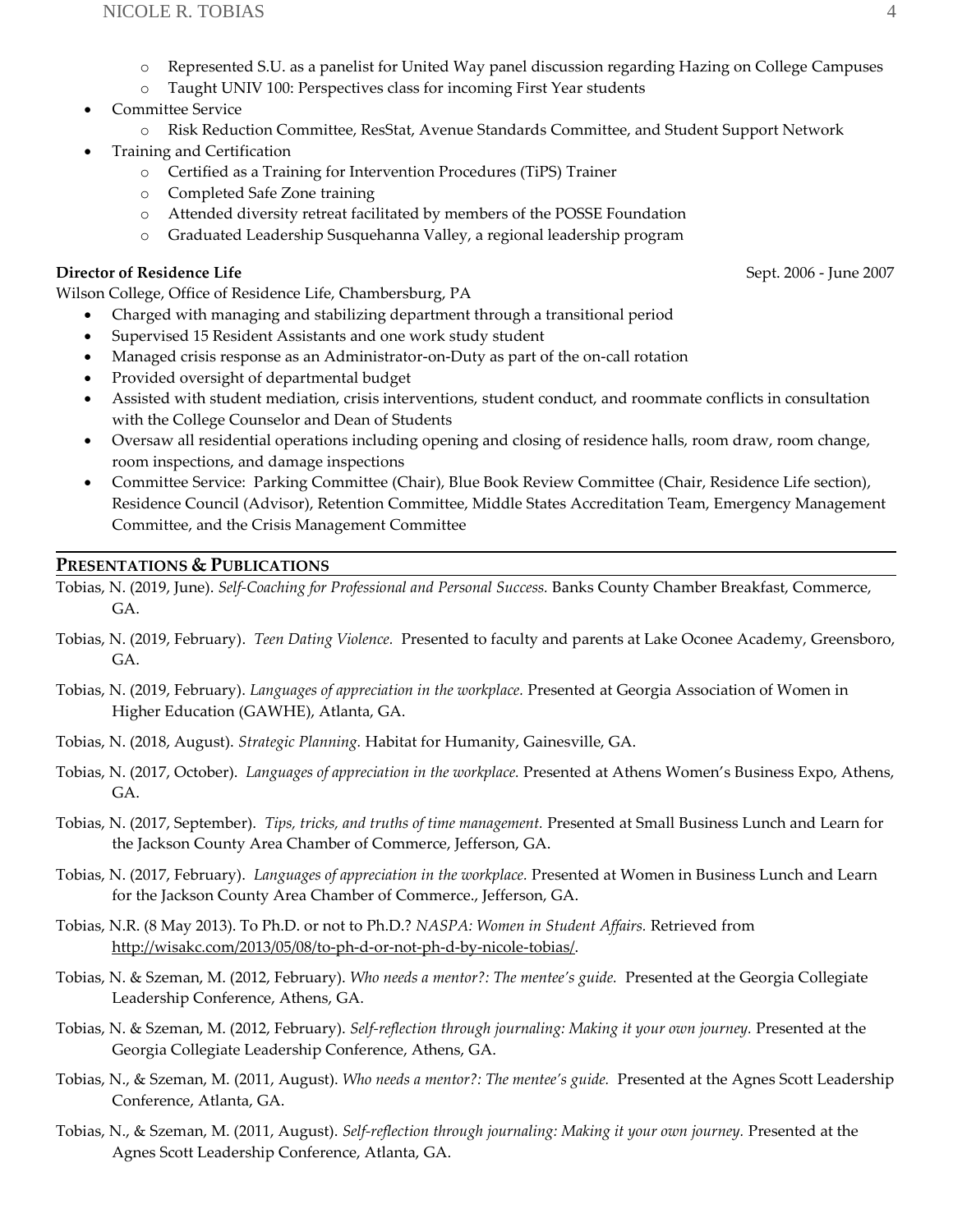- o Represented S.U. as a panelist for United Way panel discussion regarding Hazing on College Campuses
- o Taught UNIV 100: Perspectives class for incoming First Year students
- Committee Service
	- o Risk Reduction Committee, ResStat, Avenue Standards Committee, and Student Support Network
- Training and Certification
	- o Certified as a Training for Intervention Procedures (TiPS) Trainer
	- o Completed Safe Zone training
	- o Attended diversity retreat facilitated by members of the POSSE Foundation
	- o Graduated Leadership Susquehanna Valley, a regional leadership program

#### **Director of Residence Life**  $S$ ept. 2006 - June 2007

Wilson College, Office of Residence Life, Chambersburg, PA

- Charged with managing and stabilizing department through a transitional period
- Supervised 15 Resident Assistants and one work study student
- Managed crisis response as an Administrator-on-Duty as part of the on-call rotation
- Provided oversight of departmental budget
- Assisted with student mediation, crisis interventions, student conduct, and roommate conflicts in consultation with the College Counselor and Dean of Students
- Oversaw all residential operations including opening and closing of residence halls, room draw, room change, room inspections, and damage inspections
- Committee Service: Parking Committee (Chair), Blue Book Review Committee (Chair, Residence Life section), Residence Council (Advisor), Retention Committee, Middle States Accreditation Team, Emergency Management Committee, and the Crisis Management Committee

### **PRESENTATIONS & PUBLICATIONS**

Tobias, N. (2019, June). *Self-Coaching for Professional and Personal Success.* Banks County Chamber Breakfast, Commerce, GA.

- Tobias, N. (2019, February). *Teen Dating Violence.* Presented to faculty and parents at Lake Oconee Academy, Greensboro, GA.
- Tobias, N. (2019, February). *Languages of appreciation in the workplace.* Presented at Georgia Association of Women in Higher Education (GAWHE), Atlanta, GA.
- Tobias, N. (2018, August). *Strategic Planning.* Habitat for Humanity, Gainesville, GA.
- Tobias, N. (2017, October). *Languages of appreciation in the workplace.* Presented at Athens Women's Business Expo, Athens, GA.
- Tobias, N. (2017, September). *Tips, tricks, and truths of time management.* Presented at Small Business Lunch and Learn for the Jackson County Area Chamber of Commerce, Jefferson, GA.
- Tobias, N. (2017, February). *Languages of appreciation in the workplace.* Presented at Women in Business Lunch and Learn for the Jackson County Area Chamber of Commerce., Jefferson, GA.
- Tobias, N.R. (8 May 2013). To Ph.D. or not to Ph.D.? *NASPA: Women in Student Affairs.* Retrieved from [http://wisakc.com/2013/05/08/to-ph-d-or-not-ph-d-by-nicole-tobias/.](http://wisakc.com/2013/05/08/to-ph-d-or-not-ph-d-by-nicole-tobias/)
- Tobias, N. & Szeman, M. (2012, February). *Who needs a mentor?: The mentee's guide.* Presented at the Georgia Collegiate Leadership Conference, Athens, GA.
- Tobias, N. & Szeman, M. (2012, February). *Self-reflection through journaling: Making it your own journey.* Presented at the Georgia Collegiate Leadership Conference, Athens, GA.
- Tobias, N., & Szeman, M. (2011, August). *Who needs a mentor?: The mentee's guide.* Presented at the Agnes Scott Leadership Conference, Atlanta, GA.
- Tobias, N., & Szeman, M. (2011, August). *Self-reflection through journaling: Making it your own journey.* Presented at the Agnes Scott Leadership Conference, Atlanta, GA.